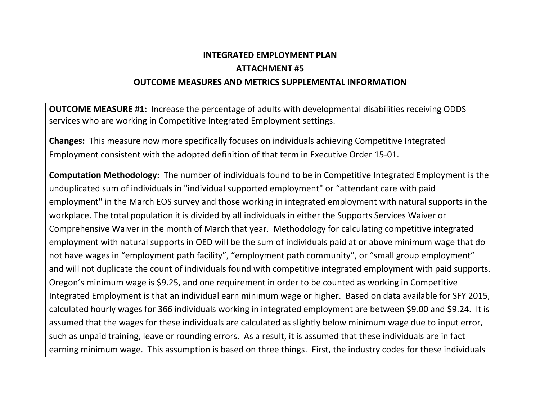## **INTEGRATED EMPLOYMENT PLAN ATTACHMENT #5 OUTCOME MEASURES AND METRICS SUPPLEMENTAL INFORMATION**

**OUTCOME MEASURE #1:** Increase the percentage of adults with developmental disabilities receiving ODDS services who are working in Competitive Integrated Employment settings.

**Changes:** This measure now more specifically focuses on individuals achieving Competitive Integrated Employment consistent with the adopted definition of that term in Executive Order 15-01.

**Computation Methodology:** The number of individuals found to be in Competitive Integrated Employment is the unduplicated sum of individuals in "individual supported employment" or "attendant care with paid employment" in the March EOS survey and those working in integrated employment with natural supports in the workplace. The total population it is divided by all individuals in either the Supports Services Waiver or Comprehensive Waiver in the month of March that year. Methodology for calculating competitive integrated employment with natural supports in OED will be the sum of individuals paid at or above minimum wage that do not have wages in "employment path facility", "employment path community", or "small group employment" and will not duplicate the count of individuals found with competitive integrated employment with paid supports. Oregon's minimum wage is \$9.25, and one requirement in order to be counted as working in Competitive Integrated Employment is that an individual earn minimum wage or higher. Based on data available for SFY 2015, calculated hourly wages for 366 individuals working in integrated employment are between \$9.00 and \$9.24. It is assumed that the wages for these individuals are calculated as slightly below minimum wage due to input error, such as unpaid training, leave or rounding errors. As a result, it is assumed that these individuals are in fact earning minimum wage. This assumption is based on three things. First, the industry codes for these individuals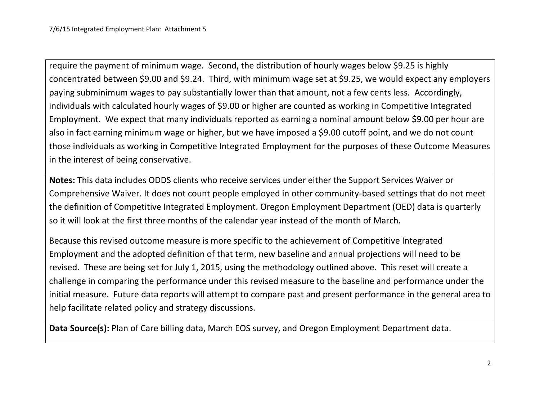require the payment of minimum wage. Second, the distribution of hourly wages below \$9.25 is highly concentrated between \$9.00 and \$9.24. Third, with minimum wage set at \$9.25, we would expect any employers paying subminimum wages to pay substantially lower than that amount, not a few cents less. Accordingly, individuals with calculated hourly wages of \$9.00 or higher are counted as working in Competitive Integrated Employment. We expect that many individuals reported as earning a nominal amount below \$9.00 per hour are also in fact earning minimum wage or higher, but we have imposed a \$9.00 cutoff point, and we do not count those individuals as working in Competitive Integrated Employment for the purposes of these Outcome Measures in the interest of being conservative.

**Notes:** This data includes ODDS clients who receive services under either the Support Services Waiver or Comprehensive Waiver. It does not count people employed in other community-based settings that do not meet the definition of Competitive Integrated Employment. Oregon Employment Department (OED) data is quarterly so it will look at the first three months of the calendar year instead of the month of March.

Because this revised outcome measure is more specific to the achievement of Competitive Integrated Employment and the adopted definition of that term, new baseline and annual projections will need to be revised. These are being set for July 1, 2015, using the methodology outlined above. This reset will create a challenge in comparing the performance under this revised measure to the baseline and performance under the initial measure. Future data reports will attempt to compare past and present performance in the general area to help facilitate related policy and strategy discussions.

**Data Source(s):** Plan of Care billing data, March EOS survey, and Oregon Employment Department data.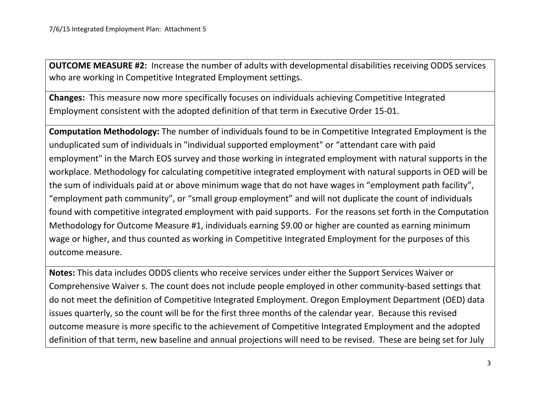**OUTCOME MEASURE #2:** Increase the number of adults with developmental disabilities receiving ODDS services who are working in Competitive Integrated Employment settings.

**Changes:** This measure now more specifically focuses on individuals achieving Competitive Integrated Employment consistent with the adopted definition of that term in Executive Order 15-01.

**Computation Methodology:** The number of individuals found to be in Competitive Integrated Employment is the unduplicated sum of individuals in "individual supported employment" or "attendant care with paid employment" in the March EOS survey and those working in integrated employment with natural supports in the workplace. Methodology for calculating competitive integrated employment with natural supports in OED will be the sum of individuals paid at or above minimum wage that do not have wages in "employment path facility", "employment path community", or "small group employment" and will not duplicate the count of individuals found with competitive integrated employment with paid supports. For the reasons set forth in the Computation Methodology for Outcome Measure #1, individuals earning \$9.00 or higher are counted as earning minimum wage or higher, and thus counted as working in Competitive Integrated Employment for the purposes of this outcome measure.

**Notes:** This data includes ODDS clients who receive services under either the Support Services Waiver or Comprehensive Waiver s. The count does not include people employed in other community-based settings that do not meet the definition of Competitive Integrated Employment. Oregon Employment Department (OED) data issues quarterly, so the count will be for the first three months of the calendar year. Because this revised outcome measure is more specific to the achievement of Competitive Integrated Employment and the adopted definition of that term, new baseline and annual projections will need to be revised. These are being set for July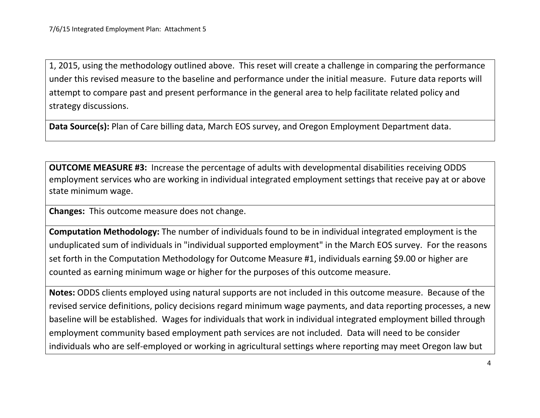1, 2015, using the methodology outlined above. This reset will create a challenge in comparing the performance under this revised measure to the baseline and performance under the initial measure. Future data reports will attempt to compare past and present performance in the general area to help facilitate related policy and strategy discussions.

**Data Source(s):** Plan of Care billing data, March EOS survey, and Oregon Employment Department data.

**OUTCOME MEASURE #3:** Increase the percentage of adults with developmental disabilities receiving ODDS employment services who are working in individual integrated employment settings that receive pay at or above state minimum wage.

**Changes:** This outcome measure does not change.

**Computation Methodology:** The number of individuals found to be in individual integrated employment is the unduplicated sum of individuals in "individual supported employment" in the March EOS survey. For the reasons set forth in the Computation Methodology for Outcome Measure #1, individuals earning \$9.00 or higher are counted as earning minimum wage or higher for the purposes of this outcome measure.

**Notes:** ODDS clients employed using natural supports are not included in this outcome measure. Because of the revised service definitions, policy decisions regard minimum wage payments, and data reporting processes, a new baseline will be established. Wages for individuals that work in individual integrated employment billed through employment community based employment path services are not included. Data will need to be consider individuals who are self-employed or working in agricultural settings where reporting may meet Oregon law but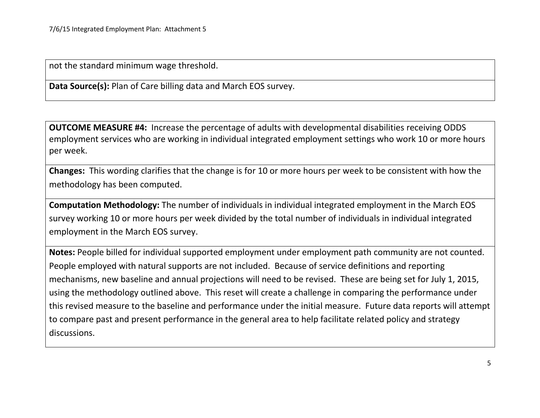not the standard minimum wage threshold.

**Data Source(s):** Plan of Care billing data and March EOS survey.

**OUTCOME MEASURE #4:** Increase the percentage of adults with developmental disabilities receiving ODDS employment services who are working in individual integrated employment settings who work 10 or more hours per week.

**Changes:** This wording clarifies that the change is for 10 or more hours per week to be consistent with how the methodology has been computed.

**Computation Methodology:** The number of individuals in individual integrated employment in the March EOS survey working 10 or more hours per week divided by the total number of individuals in individual integrated employment in the March EOS survey.

**Notes:** People billed for individual supported employment under employment path community are not counted. People employed with natural supports are not included. Because of service definitions and reporting mechanisms, new baseline and annual projections will need to be revised. These are being set for July 1, 2015, using the methodology outlined above. This reset will create a challenge in comparing the performance under this revised measure to the baseline and performance under the initial measure. Future data reports will attempt to compare past and present performance in the general area to help facilitate related policy and strategy discussions.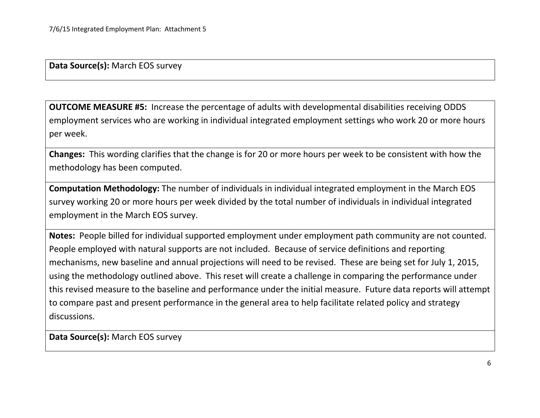**Data Source(s):** March EOS survey

**OUTCOME MEASURE #5:** Increase the percentage of adults with developmental disabilities receiving ODDS employment services who are working in individual integrated employment settings who work 20 or more hours per week.

**Changes:** This wording clarifies that the change is for 20 or more hours per week to be consistent with how the methodology has been computed.

**Computation Methodology:** The number of individuals in individual integrated employment in the March EOS survey working 20 or more hours per week divided by the total number of individuals in individual integrated employment in the March EOS survey.

**Notes:** People billed for individual supported employment under employment path community are not counted. People employed with natural supports are not included. Because of service definitions and reporting mechanisms, new baseline and annual projections will need to be revised. These are being set for July 1, 2015, using the methodology outlined above. This reset will create a challenge in comparing the performance under this revised measure to the baseline and performance under the initial measure. Future data reports will attempt to compare past and present performance in the general area to help facilitate related policy and strategy discussions.

**Data Source(s):** March EOS survey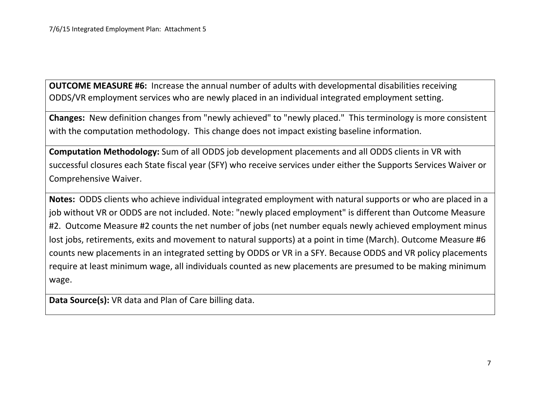**OUTCOME MEASURE #6:** Increase the annual number of adults with developmental disabilities receiving ODDS/VR employment services who are newly placed in an individual integrated employment setting.

**Changes:** New definition changes from "newly achieved" to "newly placed." This terminology is more consistent with the computation methodology. This change does not impact existing baseline information.

**Computation Methodology:** Sum of all ODDS job development placements and all ODDS clients in VR with successful closures each State fiscal year (SFY) who receive services under either the Supports Services Waiver or Comprehensive Waiver.

**Notes:** ODDS clients who achieve individual integrated employment with natural supports or who are placed in a job without VR or ODDS are not included. Note: "newly placed employment" is different than Outcome Measure #2. Outcome Measure #2 counts the net number of jobs (net number equals newly achieved employment minus lost jobs, retirements, exits and movement to natural supports) at a point in time (March). Outcome Measure #6 counts new placements in an integrated setting by ODDS or VR in a SFY. Because ODDS and VR policy placements require at least minimum wage, all individuals counted as new placements are presumed to be making minimum wage.

**Data Source(s):** VR data and Plan of Care billing data.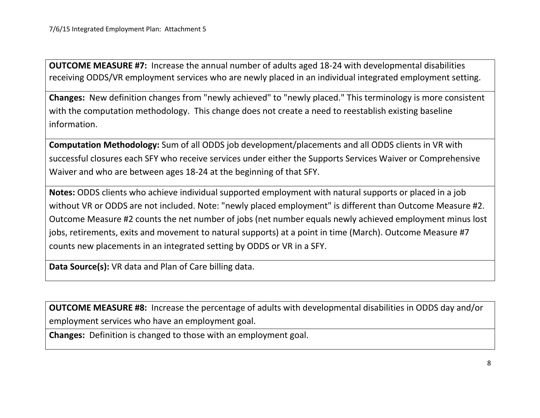**OUTCOME MEASURE #7:** Increase the annual number of adults aged 18-24 with developmental disabilities receiving ODDS/VR employment services who are newly placed in an individual integrated employment setting.

**Changes:** New definition changes from "newly achieved" to "newly placed." This terminology is more consistent with the computation methodology. This change does not create a need to reestablish existing baseline information.

**Computation Methodology:** Sum of all ODDS job development/placements and all ODDS clients in VR with successful closures each SFY who receive services under either the Supports Services Waiver or Comprehensive Waiver and who are between ages 18-24 at the beginning of that SFY.

**Notes:** ODDS clients who achieve individual supported employment with natural supports or placed in a job without VR or ODDS are not included. Note: "newly placed employment" is different than Outcome Measure #2. Outcome Measure #2 counts the net number of jobs (net number equals newly achieved employment minus lost jobs, retirements, exits and movement to natural supports) at a point in time (March). Outcome Measure #7 counts new placements in an integrated setting by ODDS or VR in a SFY.

**Data Source(s):** VR data and Plan of Care billing data.

**OUTCOME MEASURE #8:** Increase the percentage of adults with developmental disabilities in ODDS day and/or employment services who have an employment goal.

**Changes:** Definition is changed to those with an employment goal.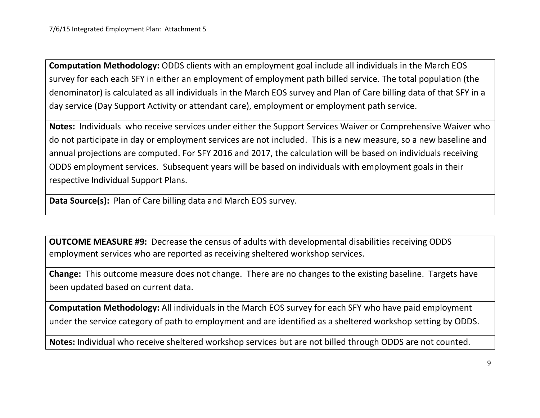**Computation Methodology:** ODDS clients with an employment goal include all individuals in the March EOS survey for each each SFY in either an employment of employment path billed service. The total population (the denominator) is calculated as all individuals in the March EOS survey and Plan of Care billing data of that SFY in a day service (Day Support Activity or attendant care), employment or employment path service.

**Notes:** Individuals who receive services under either the Support Services Waiver or Comprehensive Waiver who do not participate in day or employment services are not included. This is a new measure, so a new baseline and annual projections are computed. For SFY 2016 and 2017, the calculation will be based on individuals receiving ODDS employment services. Subsequent years will be based on individuals with employment goals in their respective Individual Support Plans.

**Data Source(s):** Plan of Care billing data and March EOS survey.

**OUTCOME MEASURE #9:** Decrease the census of adults with developmental disabilities receiving ODDS employment services who are reported as receiving sheltered workshop services.

**Change:** This outcome measure does not change. There are no changes to the existing baseline. Targets have been updated based on current data.

**Computation Methodology:** All individuals in the March EOS survey for each SFY who have paid employment under the service category of path to employment and are identified as a sheltered workshop setting by ODDS.

**Notes:** Individual who receive sheltered workshop services but are not billed through ODDS are not counted.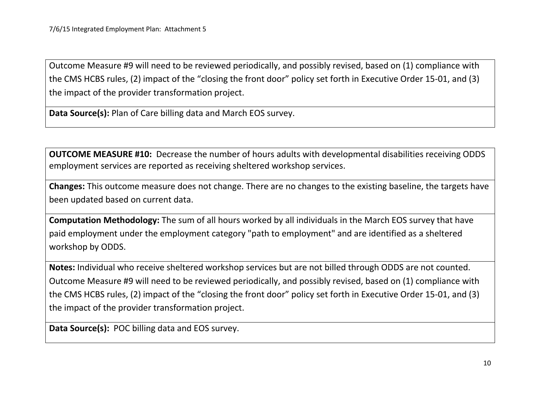Outcome Measure #9 will need to be reviewed periodically, and possibly revised, based on (1) compliance with the CMS HCBS rules, (2) impact of the "closing the front door" policy set forth in Executive Order 15-01, and (3) the impact of the provider transformation project.

**Data Source(s):** Plan of Care billing data and March EOS survey.

**OUTCOME MEASURE #10:** Decrease the number of hours adults with developmental disabilities receiving ODDS employment services are reported as receiving sheltered workshop services.

**Changes:** This outcome measure does not change. There are no changes to the existing baseline, the targets have been updated based on current data.

**Computation Methodology:** The sum of all hours worked by all individuals in the March EOS survey that have paid employment under the employment category "path to employment" and are identified as a sheltered workshop by ODDS.

**Notes:** Individual who receive sheltered workshop services but are not billed through ODDS are not counted. Outcome Measure #9 will need to be reviewed periodically, and possibly revised, based on (1) compliance with the CMS HCBS rules, (2) impact of the "closing the front door" policy set forth in Executive Order 15-01, and (3) the impact of the provider transformation project.

**Data Source(s):** POC billing data and EOS survey.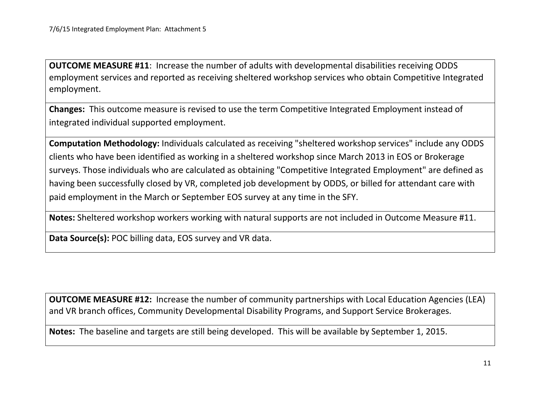**OUTCOME MEASURE #11**: Increase the number of adults with developmental disabilities receiving ODDS employment services and reported as receiving sheltered workshop services who obtain Competitive Integrated employment.

**Changes:** This outcome measure is revised to use the term Competitive Integrated Employment instead of integrated individual supported employment.

**Computation Methodology:** Individuals calculated as receiving "sheltered workshop services" include any ODDS clients who have been identified as working in a sheltered workshop since March 2013 in EOS or Brokerage surveys. Those individuals who are calculated as obtaining "Competitive Integrated Employment" are defined as having been successfully closed by VR, completed job development by ODDS, or billed for attendant care with paid employment in the March or September EOS survey at any time in the SFY.

**Notes:** Sheltered workshop workers working with natural supports are not included in Outcome Measure #11.

**Data Source(s):** POC billing data, EOS survey and VR data.

**OUTCOME MEASURE #12:** Increase the number of community partnerships with Local Education Agencies (LEA) and VR branch offices, Community Developmental Disability Programs, and Support Service Brokerages.

**Notes:** The baseline and targets are still being developed. This will be available by September 1, 2015.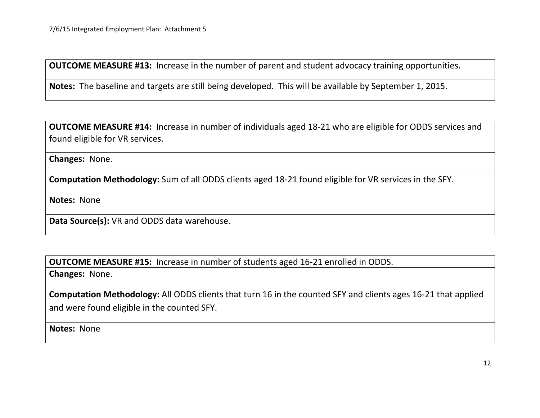**OUTCOME MEASURE #13:** Increase in the number of parent and student advocacy training opportunities.

**Notes:** The baseline and targets are still being developed. This will be available by September 1, 2015.

**OUTCOME MEASURE #14:** Increase in number of individuals aged 18-21 who are eligible for ODDS services and found eligible for VR services.

**Changes:** None.

**Computation Methodology:** Sum of all ODDS clients aged 18-21 found eligible for VR services in the SFY.

**Notes:** None

**Data Source(s):** VR and ODDS data warehouse.

**OUTCOME MEASURE #15:** Increase in number of students aged 16-21 enrolled in ODDS.

**Changes:** None.

**Computation Methodology:** All ODDS clients that turn 16 in the counted SFY and clients ages 16-21 that applied and were found eligible in the counted SFY.

**Notes:** None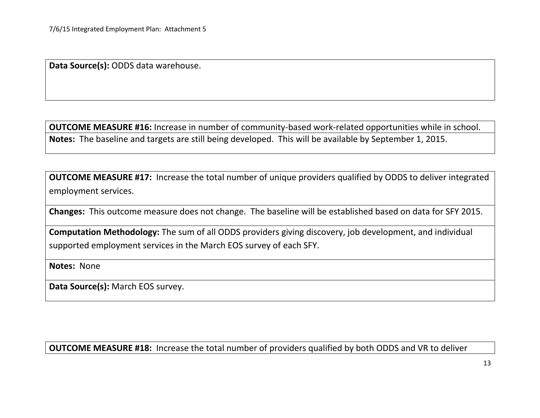**Data Source(s):** ODDS data warehouse.

**OUTCOME MEASURE #16:** Increase in number of community-based work-related opportunities while in school. **Notes:** The baseline and targets are still being developed. This will be available by September 1, 2015.

**OUTCOME MEASURE #17:** Increase the total number of unique providers qualified by ODDS to deliver integrated employment services.

**Changes:** This outcome measure does not change. The baseline will be established based on data for SFY 2015.

**Computation Methodology:** The sum of all ODDS providers giving discovery, job development, and individual supported employment services in the March EOS survey of each SFY.

**Notes:** None

**Data Source(s):** March EOS survey.

**OUTCOME MEASURE #18:** Increase the total number of providers qualified by both ODDS and VR to deliver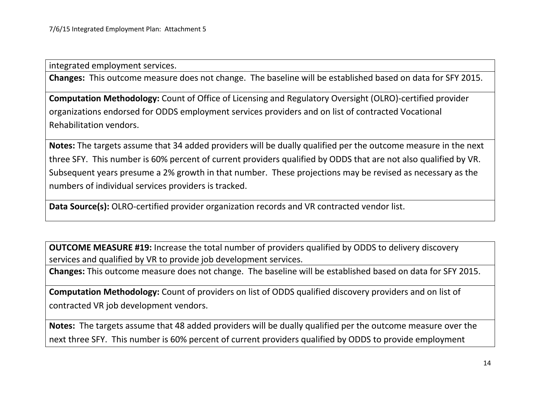integrated employment services.

**Changes:** This outcome measure does not change. The baseline will be established based on data for SFY 2015.

**Computation Methodology:** Count of Office of Licensing and Regulatory Oversight (OLRO)-certified provider organizations endorsed for ODDS employment services providers and on list of contracted Vocational Rehabilitation vendors.

**Notes:** The targets assume that 34 added providers will be dually qualified per the outcome measure in the next three SFY. This number is 60% percent of current providers qualified by ODDS that are not also qualified by VR. Subsequent years presume a 2% growth in that number. These projections may be revised as necessary as the numbers of individual services providers is tracked.

**Data Source(s):** OLRO-certified provider organization records and VR contracted vendor list.

**OUTCOME MEASURE #19:** Increase the total number of providers qualified by ODDS to delivery discovery services and qualified by VR to provide job development services.

**Changes:** This outcome measure does not change. The baseline will be established based on data for SFY 2015.

**Computation Methodology:** Count of providers on list of ODDS qualified discovery providers and on list of contracted VR job development vendors.

**Notes:** The targets assume that 48 added providers will be dually qualified per the outcome measure over the next three SFY. This number is 60% percent of current providers qualified by ODDS to provide employment